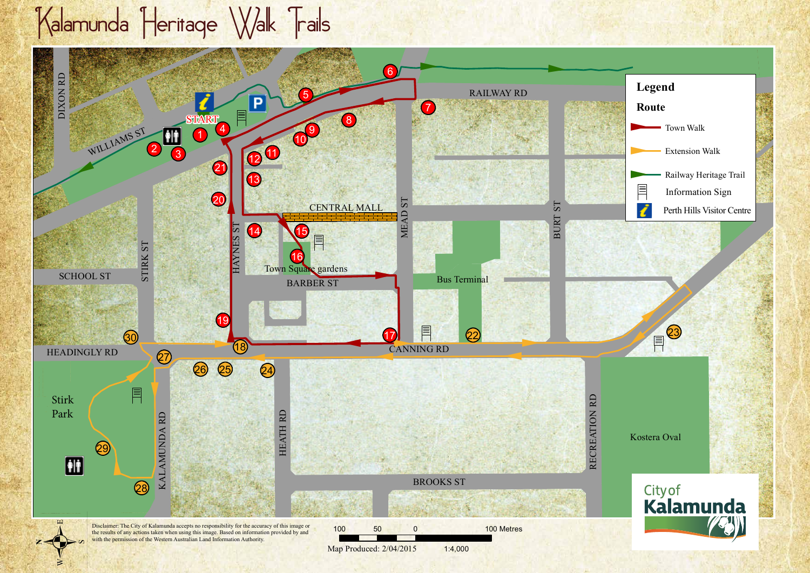## Kalamunda Heritage Walk Trails

Ø

K $\mathbb{R}$ AM

RD

27